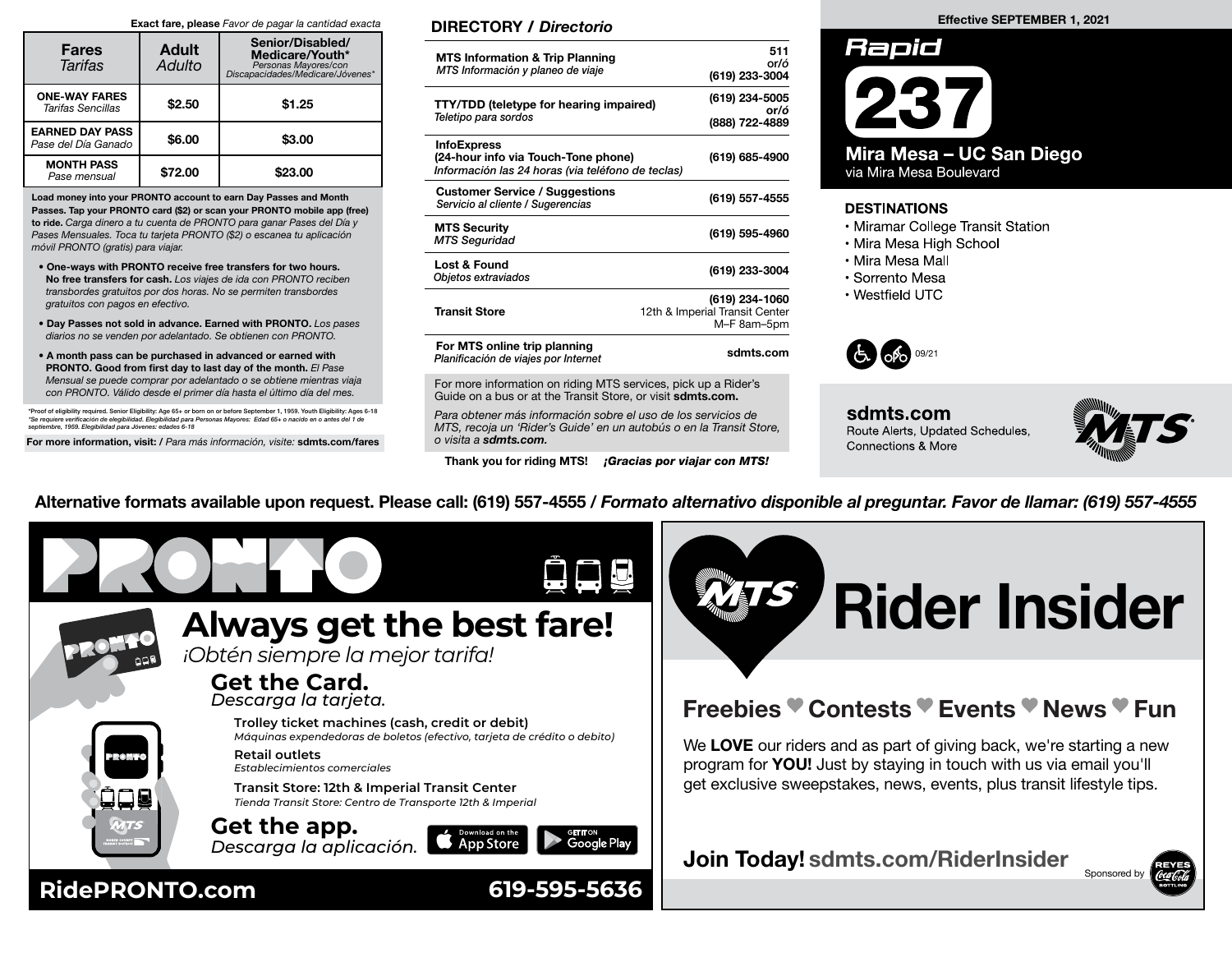#### Exact fare, please Favor de pagar la cantidad exacta

| <b>Fares</b><br>Tarifas                       | <b>Adult</b><br>Adulto | Senior/Disabled/<br>Medicare/Youth*<br>Personas Mayores/con<br>Discapacidades/Medicare/Jóvenes* |
|-----------------------------------------------|------------------------|-------------------------------------------------------------------------------------------------|
| <b>ONE-WAY FARES</b><br>Tarifas Sencillas     | \$2.50                 | \$1.25                                                                                          |
| <b>EARNED DAY PASS</b><br>Pase del Día Ganado | \$6.00                 | \$3.00                                                                                          |
| <b>MONTH PASS</b><br>Pase mensual             | \$72.00                | \$23.00                                                                                         |

Load money into your PRONTO account to earn Day Passes and Month Passes. Tap your PRONTO card (\$2) or scan your PRONTO mobile app (free) to ride. Carga dinero a tu cuenta de PRONTO para ganar Pases del Día y Pases Mensuales. Toca tu tarjeta PRONTO (\$2) o escanea tu aplicación móvil PRONTO (gratis) para viajar.

- One-ways with PRONTO receive free transfers for two hours. No free transfers for cash. Los viajes de ida con PRONTO reciben transbordes gratuitos por dos horas. No se permiten transbordes gratuitos con pagos en efectivo.
- Day Passes not sold in advance. Earned with PRONTO. Los pases diarios no se venden por adelantado. Se obtienen con PRONTO.
- A month pass can be purchased in advanced or earned with PRONTO. Good from first day to last day of the month. El Pase Mensual se puede comprar por adelantado o se obtiene mientras viaja con PRONTO. Válido desde el primer día hasta el último día del mes.

\*Proof of eligibility required. Senior Eligibility: Age 65+ or born on or before September 1, 1959. Youth Eligibility: Ages 6-18<br>\*Se requiere verificación de elegibilidad. Elegibilidad para Personas Mayores: Edad 65+ o nac

For more information, visit: / Para más información, visite: sdmts.com/fares

### DIRECTORY / Directorio

| <b>MTS Information &amp; Trip Planning</b><br>MTS Información y planeo de viaje                                | 511<br>or/ó<br>(619) 233-3004                                   |
|----------------------------------------------------------------------------------------------------------------|-----------------------------------------------------------------|
| TTY/TDD (teletype for hearing impaired)<br>Teletipo para sordos                                                | (619) 234-5005<br>or/ó<br>(888) 722-4889                        |
| <b>InfoExpress</b><br>(24-hour info via Touch-Tone phone)<br>Información las 24 horas (via teléfono de teclas) | (619) 685-4900                                                  |
| <b>Customer Service / Suggestions</b><br>Servicio al cliente / Sugerencias                                     | (619) 557-4555                                                  |
| <b>MTS Security</b><br><b>MTS Seguridad</b>                                                                    | (619) 595-4960                                                  |
| Lost & Found<br>Objetos extraviados                                                                            | (619) 233-3004                                                  |
| Transit Store                                                                                                  | (619) 234-1060<br>12th & Imperial Transit Center<br>M-F 8am-5pm |
| For MTS online trip planning<br>Planificación de viajes por Internet                                           | sdmts.com                                                       |

For more information on riding MTS services, pick up a Rider's Guide on a bus or at the Transit Store, or visit sdmts.com.

Para obtener más información sobre el uso de los servicios de MTS, recoja un 'Rider's Guide' en un autobús o en la Transit Store, o visita a sdmts.com.

Thank you for riding MTS! **¡Gracias por viajar con MTS!** 

#### Effective SEPTEMBER 1, 2021



## **DESTINATIONS**

- Miramar College Transit Station
- Mira Mesa High School
- Mira Mesa Mall
- Sorrento Mesa
- · Westfield UTC



sdmts.com Route Alerts, Updated Schedules, **Connections & More** 



Alternative formats available upon request. Please call: (619) 557-4555 / Formato alternativo disponible al preguntar. Favor de llamar: (619) 557-4555



# Rider Insider

# Freebies Contests Events News Fun

We LOVE our riders and as part of giving back, we're starting a new program for YOU! Just by staying in touch with us via email you'll get exclusive sweepstakes, news, events, plus transit lifestyle tips.

Join Today! sdmts.com/RiderInsider